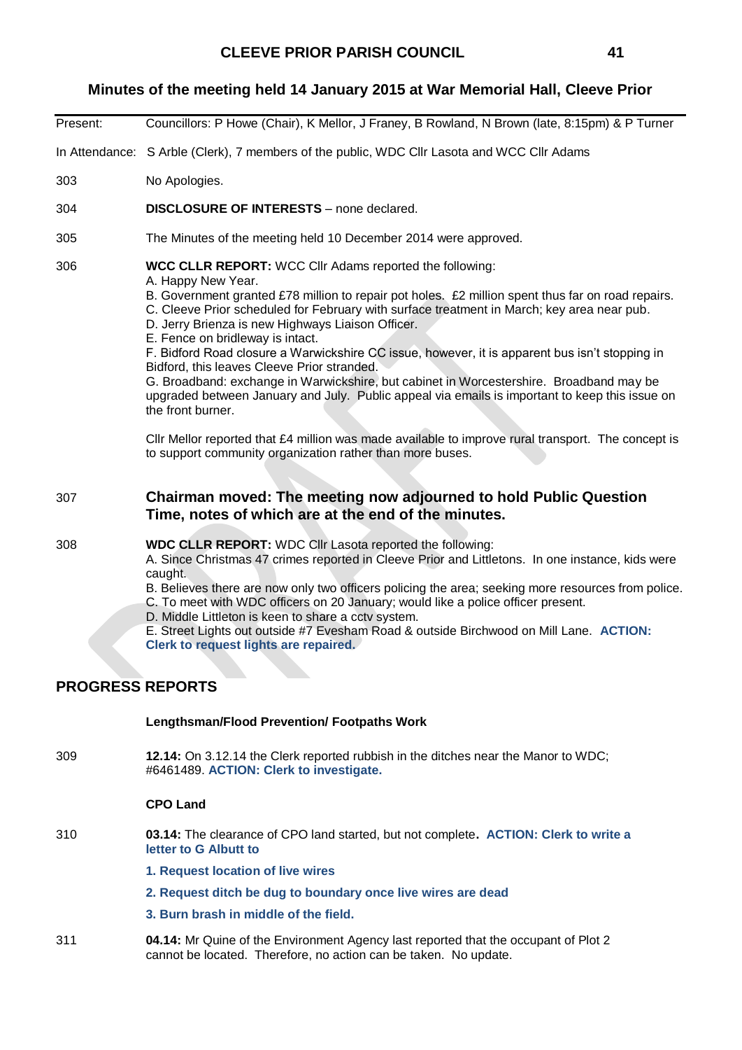## **Minutes of the meeting held 14 January 2015 at War Memorial Hall, Cleeve Prior**

- Present: Councillors: P Howe (Chair), K Mellor, J Franey, B Rowland, N Brown (late, 8:15pm) & P Turner In Attendance: S Arble (Clerk), 7 members of the public, WDC Cllr Lasota and WCC Cllr Adams 303 No Apologies. 304 **DISCLOSURE OF INTERESTS** – none declared. 305 The Minutes of the meeting held 10 December 2014 were approved. 306 **WCC CLLR REPORT:** WCC Cllr Adams reported the following: A. Happy New Year. B. Government granted £78 million to repair pot holes. £2 million spent thus far on road repairs. C. Cleeve Prior scheduled for February with surface treatment in March; key area near pub. D. Jerry Brienza is new Highways Liaison Officer. E. Fence on bridleway is intact. F. Bidford Road closure a Warwickshire CC issue, however, it is apparent bus isn't stopping in Bidford, this leaves Cleeve Prior stranded. G. Broadband: exchange in Warwickshire, but cabinet in Worcestershire. Broadband may be upgraded between January and July. Public appeal via emails is important to keep this issue on the front burner. Cllr Mellor reported that £4 million was made available to improve rural transport. The concept is to support community organization rather than more buses. 307 **Chairman moved: The meeting now adjourned to hold Public Question Time, notes of which are at the end of the minutes.**  308 **WDC CLLR REPORT:** WDC Cllr Lasota reported the following: A. Since Christmas 47 crimes reported in Cleeve Prior and Littletons. In one instance, kids were caught. B. Believes there are now only two officers policing the area; seeking more resources from police. C. To meet with WDC officers on 20 January; would like a police officer present. D. Middle Littleton is keen to share a cctv system. E. Street Lights out outside #7 Evesham Road & outside Birchwood on Mill Lane. **ACTION: Clerk to request lights are repaired. PROGRESS REPORTS Lengthsman/Flood Prevention/ Footpaths Work** 309 **12.14:** On 3.12.14 the Clerk reported rubbish in the ditches near the Manor to WDC; #6461489. **ACTION: Clerk to investigate. CPO Land** 310 **03.14:** The clearance of CPO land started, but not complete**. ACTION: Clerk to write a letter to G Albutt to 1. Request location of live wires**
	- **2. Request ditch be dug to boundary once live wires are dead**
	- **3. Burn brash in middle of the field.**
- 311 **04.14:** Mr Quine of the Environment Agency last reported that the occupant of Plot 2 cannot be located. Therefore, no action can be taken. No update.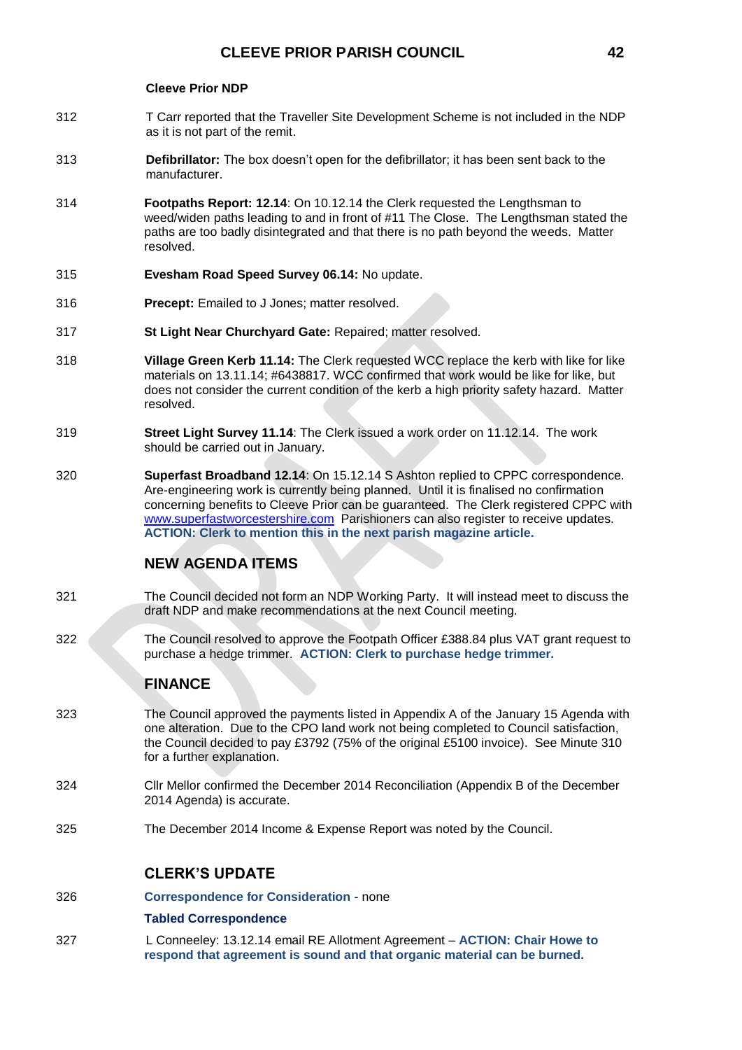#### **Cleeve Prior NDP**

- 312 T Carr reported that the Traveller Site Development Scheme is not included in the NDP as it is not part of the remit.
- 313 **Defibrillator:** The box doesn't open for the defibrillator; it has been sent back to the manufacturer.
- 314 **Footpaths Report: 12.14**: On 10.12.14 the Clerk requested the Lengthsman to weed/widen paths leading to and in front of #11 The Close. The Lengthsman stated the paths are too badly disintegrated and that there is no path beyond the weeds. Matter resolved.
- 315 **Evesham Road Speed Survey 06.14:** No update.
- 316 **Precept:** Emailed to J Jones; matter resolved.
- 317 **St Light Near Churchyard Gate:** Repaired; matter resolved.
- 318 **Village Green Kerb 11.14:** The Clerk requested WCC replace the kerb with like for like materials on 13.11.14; #6438817. WCC confirmed that work would be like for like, but does not consider the current condition of the kerb a high priority safety hazard. Matter resolved.
- 319 **Street Light Survey 11.14**: The Clerk issued a work order on 11.12.14. The work should be carried out in January.
- 320 **Superfast Broadband 12.14**: On 15.12.14 S Ashton replied to CPPC correspondence. Are-engineering work is currently being planned. Until it is finalised no confirmation concerning benefits to Cleeve Prior can be guaranteed. The Clerk registered CPPC with [www.superfastworcestershire.com](http://www.superfastworcestershire.com/) Parishioners can also register to receive updates. **ACTION: Clerk to mention this in the next parish magazine article.**

# **NEW AGENDA ITEMS**

- 321 The Council decided not form an NDP Working Party. It will instead meet to discuss the draft NDP and make recommendations at the next Council meeting.
- 322 The Council resolved to approve the Footpath Officer £388.84 plus VAT grant request to purchase a hedge trimmer. **ACTION: Clerk to purchase hedge trimmer.**

### **FINANCE**

- 323 The Council approved the payments listed in Appendix A of the January 15 Agenda with one alteration. Due to the CPO land work not being completed to Council satisfaction, the Council decided to pay £3792 (75% of the original £5100 invoice). See Minute 310 for a further explanation.
- 324 Cllr Mellor confirmed the December 2014 Reconciliation (Appendix B of the December 2014 Agenda) is accurate.
- 325 The December 2014 Income & Expense Report was noted by the Council.

#### **CLERK'S UPDATE**

326 **Correspondence for Consideration** - none

#### **Tabled Correspondence**

327 L Conneeley: 13.12.14 email RE Allotment Agreement – **ACTION: Chair Howe to respond that agreement is sound and that organic material can be burned.**